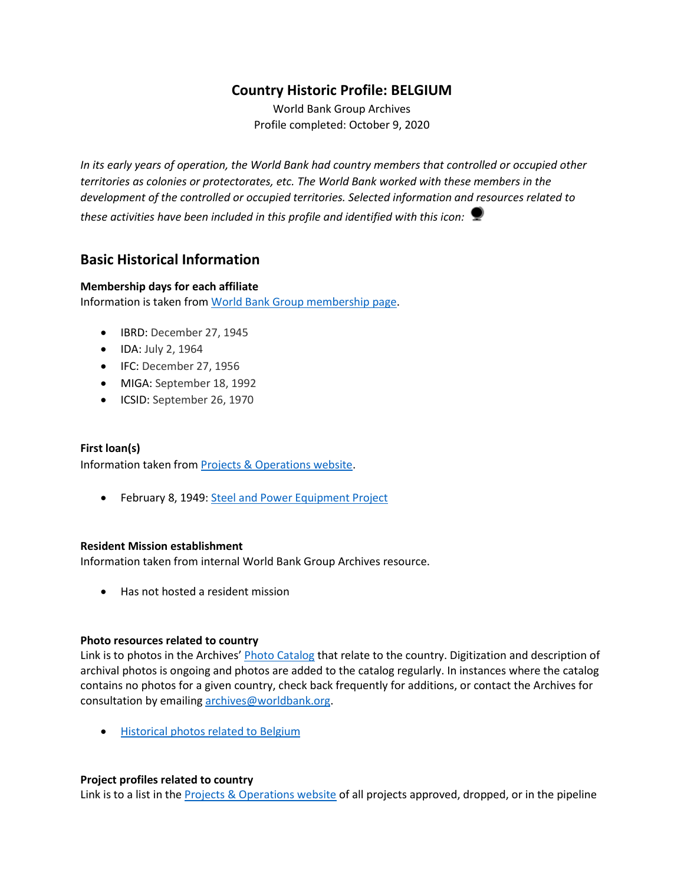# **Country Historic Profile: BELGIUM**

World Bank Group Archives Profile completed: October 9, 2020

*In its early years of operation, the World Bank had country members that controlled or occupied other territories as colonies or protectorates, etc. The World Bank worked with these members in the development of the controlled or occupied territories. Selected information and resources related to these activities have been included in this profile and identified with this icon:*

## **Basic Historical Information**

#### **Membership days for each affiliate**

Information is taken from [World Bank Group membership page.](https://www.worldbank.org/en/about/leadership/members#1)

- IBRD: December 27, 1945
- IDA: July 2, 1964
- IFC: December 27, 1956
- MIGA: September 18, 1992
- ICSID: September 26, 1970

#### **First loan(s)**

Information taken from [Projects & Operations website.](https://projects.worldbank.org/)

• February 8, 1949: [Steel and Power Equipment Project](https://projects.worldbank.org/en/projects-operations/project-detail/P037358)

#### **Resident Mission establishment**

Information taken from internal World Bank Group Archives resource.

• Has not hosted a resident mission

#### **Photo resources related to country**

Link is to photos in the Archives' [Photo Catalog](https://archivesphotos.worldbank.org/en/about/archives/photo-gallery) that relate to the country. Digitization and description of archival photos is ongoing and photos are added to the catalog regularly. In instances where the catalog contains no photos for a given country, check back frequently for additions, or contact the Archives for consultation by emailing [archives@worldbank.org.](mailto:archives@worldbank.org)

• [Historical photos related to Belgium](https://archivesphotos.worldbank.org/en/about/archives/photo-gallery/photo-gallery-landing?qterm=Belgium&wbg_country=Belgium)

#### **Project profiles related to country**

Link is to a list in the [Projects & Operations website](https://projects.worldbank.org/) of all projects approved, dropped, or in the pipeline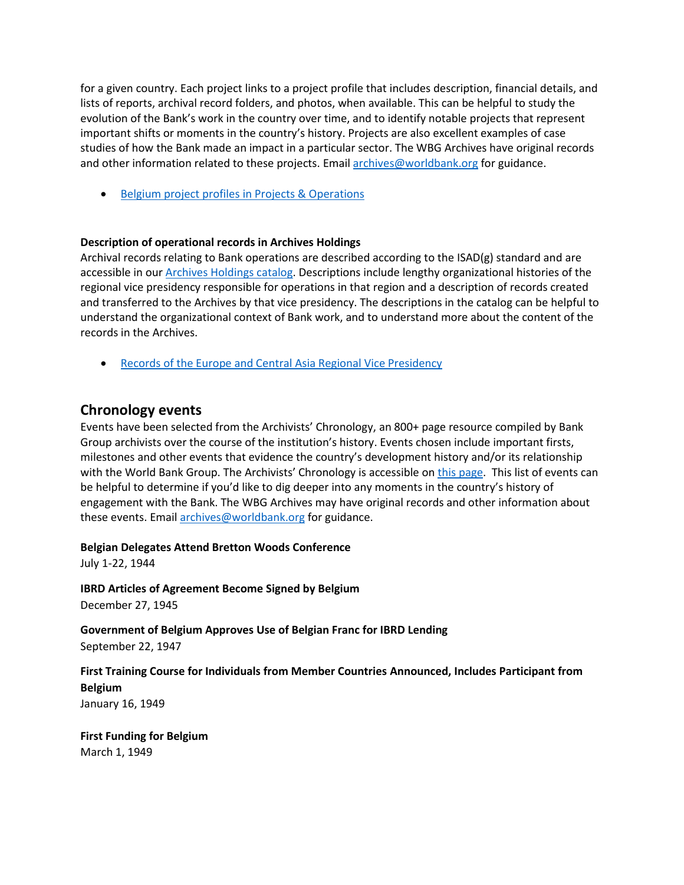for a given country. Each project links to a project profile that includes description, financial details, and lists of reports, archival record folders, and photos, when available. This can be helpful to study the evolution of the Bank's work in the country over time, and to identify notable projects that represent important shifts or moments in the country's history. Projects are also excellent examples of case studies of how the Bank made an impact in a particular sector. The WBG Archives have original records and other information related to these projects. Email [archives@worldbank.org](mailto:archives@worldbank.org) for guidance.

• Belgium [project profiles in Projects & Operations](https://projects.worldbank.org/en/projects-operations/projects-list?countrycode_exact=BE)

#### **Description of operational records in Archives Holdings**

Archival records relating to Bank operations are described according to the ISAD(g) standard and are accessible in our [Archives Holdings catalog.](https://archivesholdings.worldbank.org/) Descriptions include lengthy organizational histories of the regional vice presidency responsible for operations in that region and a description of records created and transferred to the Archives by that vice presidency. The descriptions in the catalog can be helpful to understand the organizational context of Bank work, and to understand more about the content of the records in the Archives.

• [Records of the Europe and Central Asia Regional Vice Presidency](https://archivesholdings.worldbank.org/records-of-europe-and-central-asia-regional-vice-presidency)

## **Chronology events**

Events have been selected from the Archivists' Chronology, an 800+ page resource compiled by Bank Group archivists over the course of the institution's history. Events chosen include important firsts, milestones and other events that evidence the country's development history and/or its relationship with the World Bank Group. The Archivists' Chronology is accessible on [this page.](https://www.worldbank.org/en/about/archives/history/timeline) This list of events can be helpful to determine if you'd like to dig deeper into any moments in the country's history of engagement with the Bank. The WBG Archives may have original records and other information about these events. Email [archives@worldbank.org](mailto:archives@worldbank.org) for guidance.

#### **Belgian Delegates Attend Bretton Woods Conference**

July 1-22, 1944

**IBRD Articles of Agreement Become Signed by Belgium** December 27, 1945

**Government of Belgium Approves Use of Belgian Franc for IBRD Lending** September 22, 1947

**First Training Course for Individuals from Member Countries Announced, Includes Participant from Belgium** January 16, 1949

**First Funding for Belgium** March 1, 1949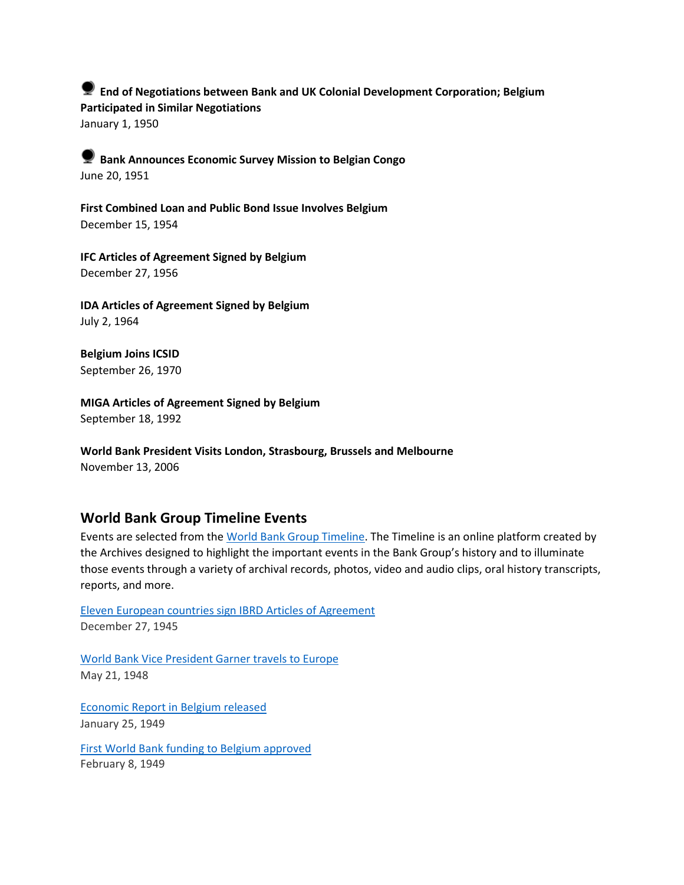**End of Negotiations between Bank and UK Colonial Development Corporation; Belgium Participated in Similar Negotiations** January 1, 1950

**Bank Announces Economic Survey Mission to Belgian Congo**  June 20, 1951

**First Combined Loan and Public Bond Issue Involves Belgium** December 15, 1954

**IFC Articles of Agreement Signed by Belgium** December 27, 1956

**IDA Articles of Agreement Signed by Belgium** July 2, 1964

**Belgium Joins ICSID** September 26, 1970

**MIGA Articles of Agreement Signed by Belgium** September 18, 1992

**World Bank President Visits London, Strasbourg, Brussels and Melbourne** November 13, 2006

## **World Bank Group Timeline Events**

Events are selected from th[e World Bank Group Timeline.](https://timeline.worldbank.org/#event-bretton-woods-conference-begins) The Timeline is an online platform created by the Archives designed to highlight the important events in the Bank Group's history and to illuminate those events through a variety of archival records, photos, video and audio clips, oral history transcripts, reports, and more.

[Eleven European countries sign IBRD Articles of Agreement](https://timeline.worldbank.org/?field_timeline_target_id=All&combine=Belgium#event-eleven-european-countries-sign-ibrd-articles-of-agreement) December 27, 1945

[World Bank Vice President Garner travels to Europe](https://timeline.worldbank.org/?field_timeline_target_id=All&combine=Belgium#event-world-bank-vice-president-garner-travels-to-europe) May 21, 1948

[Economic Report in Belgium released](https://timeline.worldbank.org/?field_timeline_target_id=All&combine=Belgium#event-economic-report-in-belgium-released) January 25, 1949

[First World Bank funding to Belgium approved](https://timeline.worldbank.org/?field_timeline_target_id=All&combine=Belgium#event-first-world-bank-funding-to-belgium-approved) February 8, 1949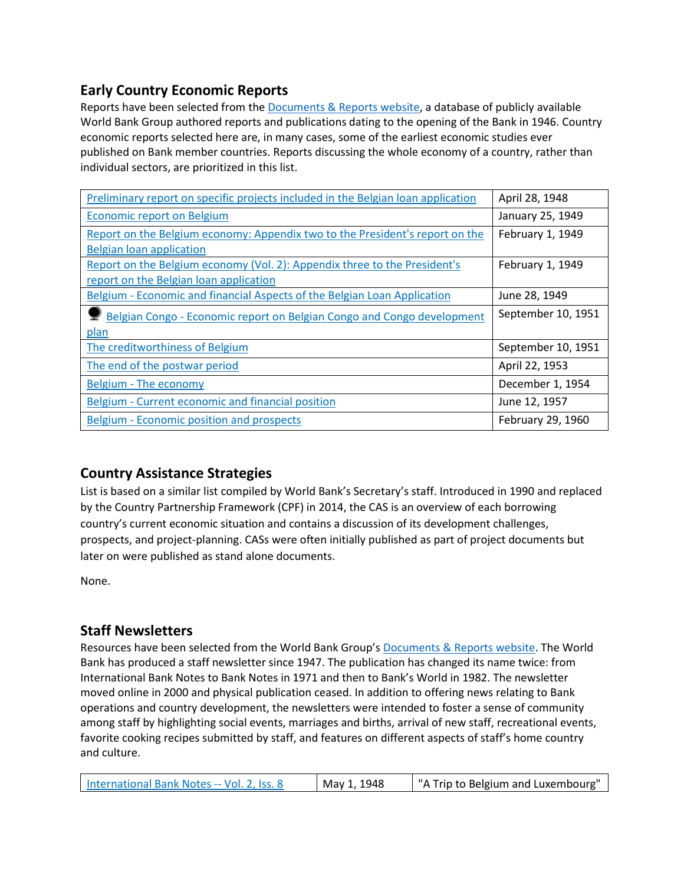# **Early Country Economic Reports**

Reports have been selected from the **Documents & Reports website**, a database of publicly available World Bank Group authored reports and publications dating to the opening of the Bank in 1946. Country economic reports selected here are, in many cases, some of the earliest economic studies ever published on Bank member countries. Reports discussing the whole economy of a country, rather than individual sectors, are prioritized in this list.

| Preliminary report on specific projects included in the Belgian loan application | April 28, 1948     |
|----------------------------------------------------------------------------------|--------------------|
| <b>Economic report on Belgium</b>                                                | January 25, 1949   |
| Report on the Belgium economy: Appendix two to the President's report on the     | February 1, 1949   |
| Belgian loan application                                                         |                    |
| Report on the Belgium economy (Vol. 2): Appendix three to the President's        | February 1, 1949   |
| report on the Belgian loan application                                           |                    |
| Belgium - Economic and financial Aspects of the Belgian Loan Application         | June 28, 1949      |
| Belgian Congo - Economic report on Belgian Congo and Congo development           | September 10, 1951 |
| plan                                                                             |                    |
| The creditworthiness of Belgium                                                  | September 10, 1951 |
| The end of the postwar period                                                    | April 22, 1953     |
| Belgium - The economy                                                            | December 1, 1954   |
| Belgium - Current economic and financial position                                | June 12, 1957      |
| Belgium - Economic position and prospects                                        | February 29, 1960  |

# **Country Assistance Strategies**

List is based on a similar list compiled by World Bank's Secretary's staff. Introduced in 1990 and replaced by the Country Partnership Framework (CPF) in 2014, the CAS is an overview of each borrowing country's current economic situation and contains a discussion of its development challenges, prospects, and project-planning. CASs were often initially published as part of project documents but later on were published as stand alone documents.

None.

# **Staff Newsletters**

Resources have been selected from the World Bank Group's [Documents & Reports website.](https://documents.worldbank.org/) The World Bank has produced a staff newsletter since 1947. The publication has changed its name twice: from International Bank Notes to Bank Notes in 1971 and then to Bank's World in 1982. The newsletter moved online in 2000 and physical publication ceased. In addition to offering news relating to Bank operations and country development, the newsletters were intended to foster a sense of community among staff by highlighting social events, marriages and births, arrival of new staff, recreational events, favorite cooking recipes submitted by staff, and features on different aspects of staff's home country and culture.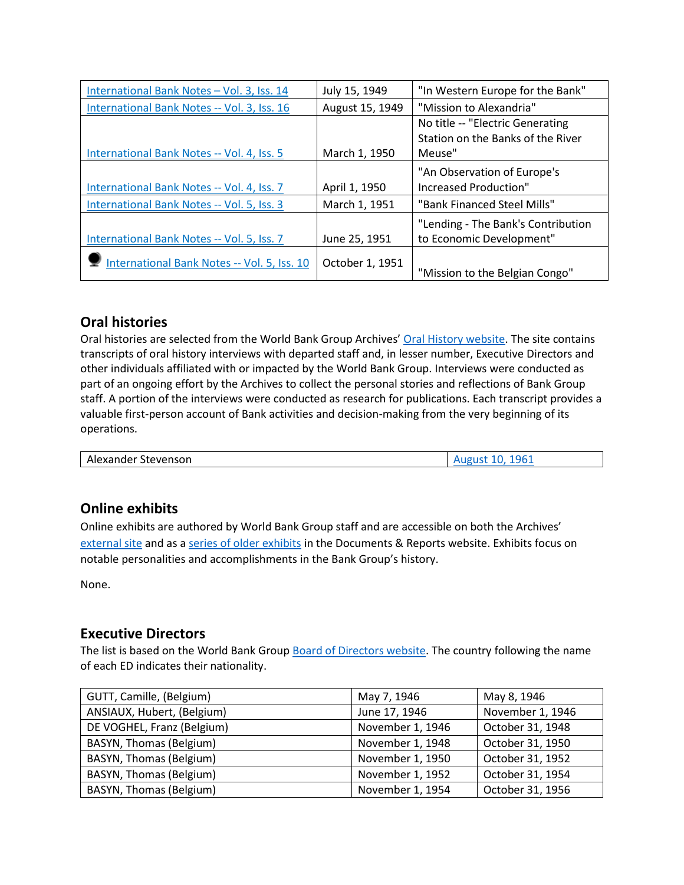| International Bank Notes - Vol. 3, Iss. 14  | July 15, 1949   | "In Western Europe for the Bank"   |  |
|---------------------------------------------|-----------------|------------------------------------|--|
| International Bank Notes -- Vol. 3, Iss. 16 | August 15, 1949 | "Mission to Alexandria"            |  |
|                                             |                 | No title -- "Electric Generating   |  |
|                                             |                 | Station on the Banks of the River  |  |
| International Bank Notes -- Vol. 4, Iss. 5  | March 1, 1950   | Meuse"                             |  |
|                                             |                 | "An Observation of Europe's        |  |
| International Bank Notes -- Vol. 4, Iss. 7  | April 1, 1950   | Increased Production"              |  |
| International Bank Notes -- Vol. 5, Iss. 3  | March 1, 1951   | "Bank Financed Steel Mills"        |  |
|                                             |                 | "Lending - The Bank's Contribution |  |
| International Bank Notes -- Vol. 5, Iss. 7  | June 25, 1951   | to Economic Development"           |  |
| International Bank Notes -- Vol. 5, Iss. 10 | October 1, 1951 | "Mission to the Belgian Congo"     |  |

## **Oral histories**

Oral histories are selected from the World Bank Group Archives' [Oral History website.](https://oralhistory.worldbank.org/) The site contains transcripts of oral history interviews with departed staff and, in lesser number, Executive Directors and other individuals affiliated with or impacted by the World Bank Group. Interviews were conducted as part of an ongoing effort by the Archives to collect the personal stories and reflections of Bank Group staff. A portion of the interviews were conducted as research for publications. Each transcript provides a valuable first-person account of Bank activities and decision-making from the very beginning of its operations.

| .<br>.<br>- -                      | ء ہ |
|------------------------------------|-----|
| - Ale<br>Stevensor.<br>-xanue<br>. |     |

# **Online exhibits**

Online exhibits are authored by World Bank Group staff and are accessible on both the Archives' [external site](https://www.worldbank.org/en/about/archives/history/exhibits) and as a [series of older exhibits](https://documents.worldbank.org/en/publication/documents-reports/documentlist?colti=World%20Bank%20Group%20Archives%20exhibit%20series) in the Documents & Reports website. Exhibits focus on notable personalities and accomplishments in the Bank Group's history.

None.

## **Executive Directors**

The list is based on the World Bank Group [Board of Directors website.](https://worldbankgroup.sharepoint.com/sites/wbsites/ExecutiveBoard/Pages/pc/About-the-Boards-05222019-155532/List-of-Executi-05222019-155839.aspx) The country following the name of each ED indicates their nationality.

| GUTT, Camille, (Belgium)   | May 7, 1946      | May 8, 1946      |
|----------------------------|------------------|------------------|
| ANSIAUX, Hubert, (Belgium) | June 17, 1946    | November 1, 1946 |
| DE VOGHEL, Franz (Belgium) | November 1, 1946 | October 31, 1948 |
| BASYN, Thomas (Belgium)    | November 1, 1948 | October 31, 1950 |
| BASYN, Thomas (Belgium)    | November 1, 1950 | October 31, 1952 |
| BASYN, Thomas (Belgium)    | November 1, 1952 | October 31, 1954 |
| BASYN, Thomas (Belgium)    | November 1, 1954 | October 31, 1956 |